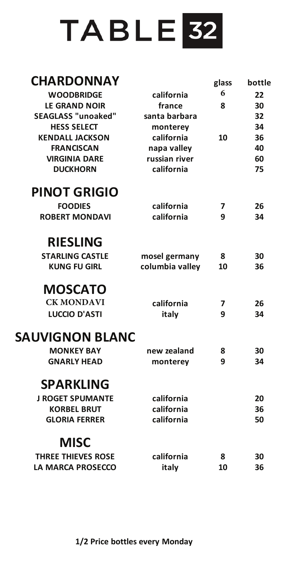## TABLE<sup>32</sup>

## **CHARDONNAY glass bottle CABER CABER CABER CABER CABER CABER CABER**

| ,IIMINUVINIVMI            |                 | giass | porrie |
|---------------------------|-----------------|-------|--------|
| <b>WOODBRIDGE</b>         | california      | 6     | 22     |
| <b>LE GRAND NOIR</b>      | france          | 8     | 30     |
| <b>SEAGLASS "unoaked"</b> | santa barbara   |       | 32     |
| <b>HESS SELECT</b>        | monterey        |       | 34     |
| <b>KENDALL JACKSON</b>    | california      | 10    | 36     |
| <b>FRANCISCAN</b>         | napa valley     |       | 40     |
| <b>VIRGINIA DARE</b>      | russian river   |       | 60     |
| <b>DUCKHORN</b>           | california      |       | 75     |
| <b>PINOT GRIGIO</b>       |                 |       |        |
| <b>FOODIES</b>            | california      | 7     | 26     |
| <b>ROBERT MONDAVI</b>     | california      | 9     | 34     |
|                           |                 |       |        |
| <b>RIESLING</b>           |                 |       |        |
| <b>STARLING CASTLE</b>    | mosel germany   | 8     | 30     |
| <b>KUNG FU GIRL</b>       | columbia valley | 10    | 36     |
| <b>MOSCATO</b>            |                 |       |        |
| <b>CK MONDAVI</b>         | california      | 7     | 26     |
| <b>LUCCIO D'ASTI</b>      | italy           | 9     | 34     |
| <b>SAUVIGNON BLANC</b>    |                 |       |        |
| <b>MONKEY BAY</b>         | new zealand     | 8     | 30     |
| <b>GNARLY HEAD</b>        | monterey        | 9     | 34     |
| <b>SPARKLING</b>          |                 |       |        |
| <b>J ROGET SPUMANTE</b>   | california      |       | 20     |
| <b>KORBEL BRUT</b>        | california      |       | 36     |
| <b>GLORIA FERRER</b>      | california      |       | 50     |
|                           |                 |       |        |
| <b>MISC</b>               |                 |       |        |
| <b>THREE THIEVES ROSE</b> | california      | 8     | 30     |
| <b>LA MARCA PROSECCO</b>  | italy           | 10    | 36     |
|                           |                 |       |        |